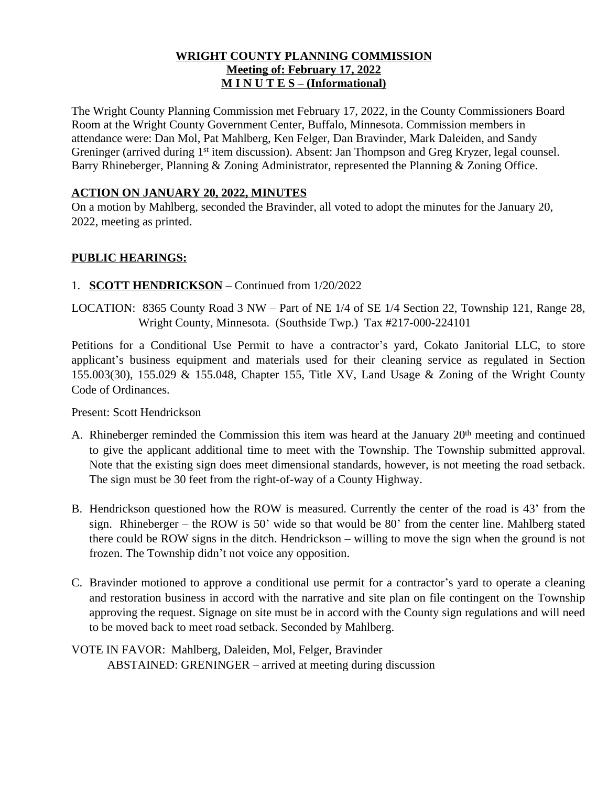#### **WRIGHT COUNTY PLANNING COMMISSION Meeting of: February 17, 2022 M I N U T E S – (Informational)**

The Wright County Planning Commission met February 17, 2022, in the County Commissioners Board Room at the Wright County Government Center, Buffalo, Minnesota. Commission members in attendance were: Dan Mol, Pat Mahlberg, Ken Felger, Dan Bravinder, Mark Daleiden, and Sandy Greninger (arrived during 1<sup>st</sup> item discussion). Absent: Jan Thompson and Greg Kryzer, legal counsel. Barry Rhineberger, Planning & Zoning Administrator, represented the Planning & Zoning Office.

## **ACTION ON JANUARY 20, 2022, MINUTES**

On a motion by Mahlberg, seconded the Bravinder, all voted to adopt the minutes for the January 20, 2022, meeting as printed.

### **PUBLIC HEARINGS:**

### 1. **SCOTT HENDRICKSON** – Continued from 1/20/2022

LOCATION: 8365 County Road 3 NW – Part of NE 1/4 of SE 1/4 Section 22, Township 121, Range 28, Wright County, Minnesota. (Southside Twp.) Tax #217-000-224101

Petitions for a Conditional Use Permit to have a contractor's yard, Cokato Janitorial LLC, to store applicant's business equipment and materials used for their cleaning service as regulated in Section 155.003(30), 155.029 & 155.048, Chapter 155, Title XV, Land Usage & Zoning of the Wright County Code of Ordinances.

Present: Scott Hendrickson

- A. Rhineberger reminded the Commission this item was heard at the January  $20<sup>th</sup>$  meeting and continued to give the applicant additional time to meet with the Township. The Township submitted approval. Note that the existing sign does meet dimensional standards, however, is not meeting the road setback. The sign must be 30 feet from the right-of-way of a County Highway.
- B. Hendrickson questioned how the ROW is measured. Currently the center of the road is 43' from the sign. Rhineberger – the ROW is 50' wide so that would be 80' from the center line. Mahlberg stated there could be ROW signs in the ditch. Hendrickson – willing to move the sign when the ground is not frozen. The Township didn't not voice any opposition.
- C. Bravinder motioned to approve a conditional use permit for a contractor's yard to operate a cleaning and restoration business in accord with the narrative and site plan on file contingent on the Township approving the request. Signage on site must be in accord with the County sign regulations and will need to be moved back to meet road setback. Seconded by Mahlberg.
- VOTE IN FAVOR: Mahlberg, Daleiden, Mol, Felger, Bravinder ABSTAINED: GRENINGER – arrived at meeting during discussion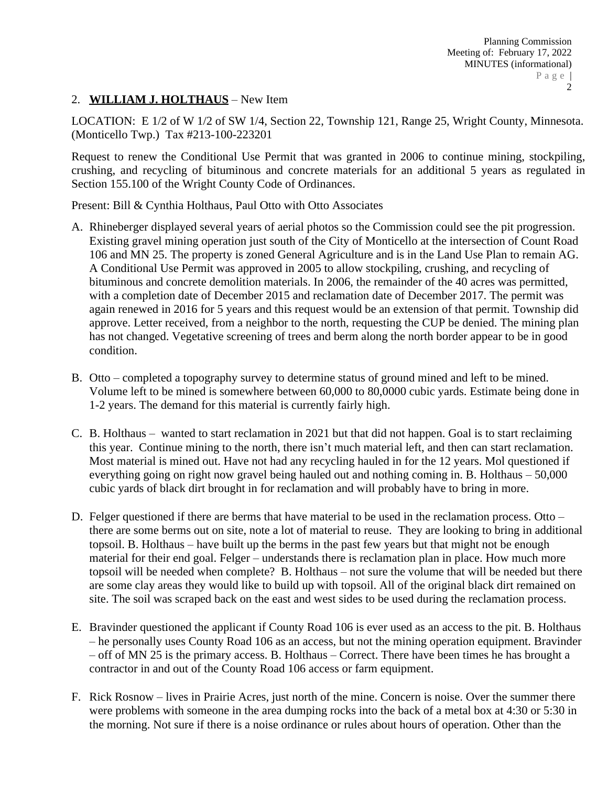# 2. **WILLIAM J. HOLTHAUS** – New Item

LOCATION: E 1/2 of W 1/2 of SW 1/4, Section 22, Township 121, Range 25, Wright County, Minnesota. (Monticello Twp.) Tax #213-100-223201

Request to renew the Conditional Use Permit that was granted in 2006 to continue mining, stockpiling, crushing, and recycling of bituminous and concrete materials for an additional 5 years as regulated in Section 155.100 of the Wright County Code of Ordinances.

Present: Bill & Cynthia Holthaus, Paul Otto with Otto Associates

- A. Rhineberger displayed several years of aerial photos so the Commission could see the pit progression. Existing gravel mining operation just south of the City of Monticello at the intersection of Count Road 106 and MN 25. The property is zoned General Agriculture and is in the Land Use Plan to remain AG. A Conditional Use Permit was approved in 2005 to allow stockpiling, crushing, and recycling of bituminous and concrete demolition materials. In 2006, the remainder of the 40 acres was permitted, with a completion date of December 2015 and reclamation date of December 2017. The permit was again renewed in 2016 for 5 years and this request would be an extension of that permit. Township did approve. Letter received, from a neighbor to the north, requesting the CUP be denied. The mining plan has not changed. Vegetative screening of trees and berm along the north border appear to be in good condition.
- B. Otto completed a topography survey to determine status of ground mined and left to be mined. Volume left to be mined is somewhere between 60,000 to 80,0000 cubic yards. Estimate being done in 1-2 years. The demand for this material is currently fairly high.
- C. B. Holthaus wanted to start reclamation in 2021 but that did not happen. Goal is to start reclaiming this year. Continue mining to the north, there isn't much material left, and then can start reclamation. Most material is mined out. Have not had any recycling hauled in for the 12 years. Mol questioned if everything going on right now gravel being hauled out and nothing coming in. B. Holthaus – 50,000 cubic yards of black dirt brought in for reclamation and will probably have to bring in more.
- D. Felger questioned if there are berms that have material to be used in the reclamation process. Otto there are some berms out on site, note a lot of material to reuse. They are looking to bring in additional topsoil. B. Holthaus – have built up the berms in the past few years but that might not be enough material for their end goal. Felger – understands there is reclamation plan in place. How much more topsoil will be needed when complete? B. Holthaus – not sure the volume that will be needed but there are some clay areas they would like to build up with topsoil. All of the original black dirt remained on site. The soil was scraped back on the east and west sides to be used during the reclamation process.
- E. Bravinder questioned the applicant if County Road 106 is ever used as an access to the pit. B. Holthaus – he personally uses County Road 106 as an access, but not the mining operation equipment. Bravinder – off of MN 25 is the primary access. B. Holthaus – Correct. There have been times he has brought a contractor in and out of the County Road 106 access or farm equipment.
- F. Rick Rosnow lives in Prairie Acres, just north of the mine. Concern is noise. Over the summer there were problems with someone in the area dumping rocks into the back of a metal box at 4:30 or 5:30 in the morning. Not sure if there is a noise ordinance or rules about hours of operation. Other than the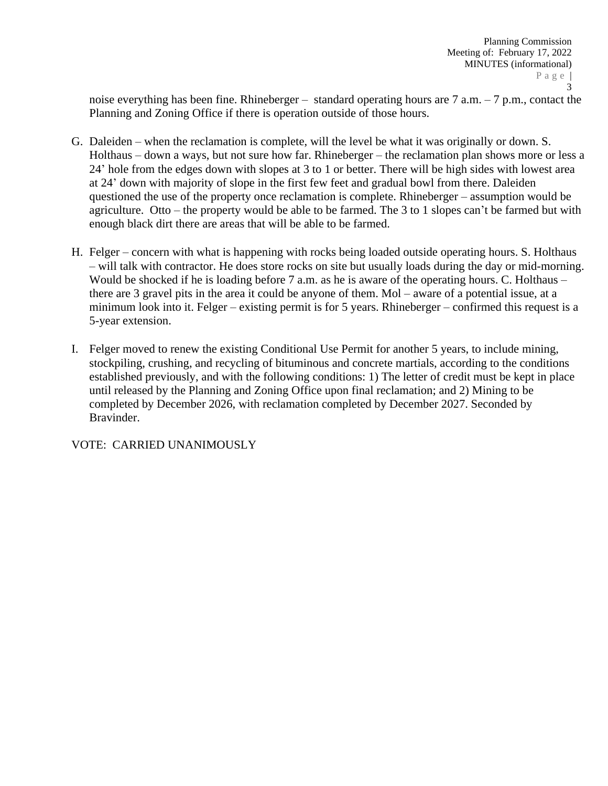noise everything has been fine. Rhineberger – standard operating hours are 7 a.m. – 7 p.m., contact the Planning and Zoning Office if there is operation outside of those hours.

- G. Daleiden when the reclamation is complete, will the level be what it was originally or down. S. Holthaus – down a ways, but not sure how far. Rhineberger – the reclamation plan shows more or less a 24' hole from the edges down with slopes at 3 to 1 or better. There will be high sides with lowest area at 24' down with majority of slope in the first few feet and gradual bowl from there. Daleiden questioned the use of the property once reclamation is complete. Rhineberger – assumption would be agriculture. Otto – the property would be able to be farmed. The 3 to 1 slopes can't be farmed but with enough black dirt there are areas that will be able to be farmed.
- H. Felger concern with what is happening with rocks being loaded outside operating hours. S. Holthaus – will talk with contractor. He does store rocks on site but usually loads during the day or mid-morning. Would be shocked if he is loading before 7 a.m. as he is aware of the operating hours. C. Holthaus – there are 3 gravel pits in the area it could be anyone of them. Mol – aware of a potential issue, at a minimum look into it. Felger – existing permit is for 5 years. Rhineberger – confirmed this request is a 5-year extension.
- I. Felger moved to renew the existing Conditional Use Permit for another 5 years, to include mining, stockpiling, crushing, and recycling of bituminous and concrete martials, according to the conditions established previously, and with the following conditions: 1) The letter of credit must be kept in place until released by the Planning and Zoning Office upon final reclamation; and 2) Mining to be completed by December 2026, with reclamation completed by December 2027. Seconded by Bravinder.

VOTE: CARRIED UNANIMOUSLY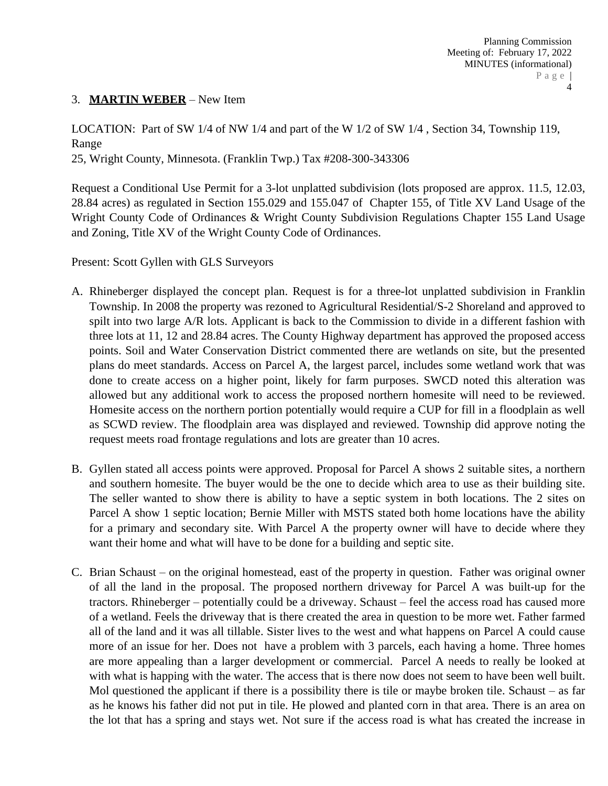## 3. **MARTIN WEBER** – New Item

LOCATION: Part of SW 1/4 of NW 1/4 and part of the W 1/2 of SW 1/4 , Section 34, Township 119, Range

25, Wright County, Minnesota. (Franklin Twp.) Tax #208-300-343306

Request a Conditional Use Permit for a 3-lot unplatted subdivision (lots proposed are approx. 11.5, 12.03, 28.84 acres) as regulated in Section 155.029 and 155.047 of Chapter 155, of Title XV Land Usage of the Wright County Code of Ordinances & Wright County Subdivision Regulations Chapter 155 Land Usage and Zoning, Title XV of the Wright County Code of Ordinances.

Present: Scott Gyllen with GLS Surveyors

- A. Rhineberger displayed the concept plan. Request is for a three-lot unplatted subdivision in Franklin Township. In 2008 the property was rezoned to Agricultural Residential/S-2 Shoreland and approved to spilt into two large A/R lots. Applicant is back to the Commission to divide in a different fashion with three lots at 11, 12 and 28.84 acres. The County Highway department has approved the proposed access points. Soil and Water Conservation District commented there are wetlands on site, but the presented plans do meet standards. Access on Parcel A, the largest parcel, includes some wetland work that was done to create access on a higher point, likely for farm purposes. SWCD noted this alteration was allowed but any additional work to access the proposed northern homesite will need to be reviewed. Homesite access on the northern portion potentially would require a CUP for fill in a floodplain as well as SCWD review. The floodplain area was displayed and reviewed. Township did approve noting the request meets road frontage regulations and lots are greater than 10 acres.
- B. Gyllen stated all access points were approved. Proposal for Parcel A shows 2 suitable sites, a northern and southern homesite. The buyer would be the one to decide which area to use as their building site. The seller wanted to show there is ability to have a septic system in both locations. The 2 sites on Parcel A show 1 septic location; Bernie Miller with MSTS stated both home locations have the ability for a primary and secondary site. With Parcel A the property owner will have to decide where they want their home and what will have to be done for a building and septic site.
- C. Brian Schaust on the original homestead, east of the property in question. Father was original owner of all the land in the proposal. The proposed northern driveway for Parcel A was built-up for the tractors. Rhineberger – potentially could be a driveway. Schaust – feel the access road has caused more of a wetland. Feels the driveway that is there created the area in question to be more wet. Father farmed all of the land and it was all tillable. Sister lives to the west and what happens on Parcel A could cause more of an issue for her. Does not have a problem with 3 parcels, each having a home. Three homes are more appealing than a larger development or commercial. Parcel A needs to really be looked at with what is happing with the water. The access that is there now does not seem to have been well built. Mol questioned the applicant if there is a possibility there is tile or maybe broken tile. Schaust – as far as he knows his father did not put in tile. He plowed and planted corn in that area. There is an area on the lot that has a spring and stays wet. Not sure if the access road is what has created the increase in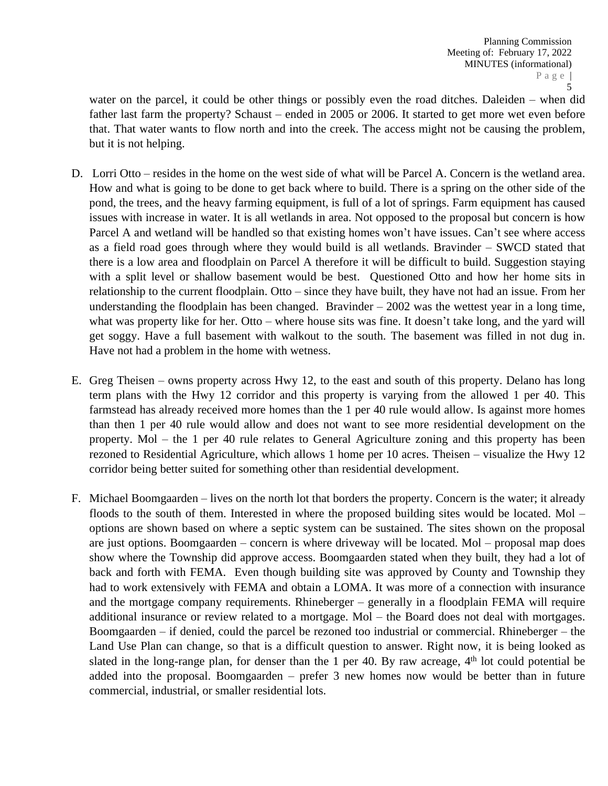water on the parcel, it could be other things or possibly even the road ditches. Daleiden – when did father last farm the property? Schaust – ended in 2005 or 2006. It started to get more wet even before that. That water wants to flow north and into the creek. The access might not be causing the problem, but it is not helping.

- D. Lorri Otto resides in the home on the west side of what will be Parcel A. Concern is the wetland area. How and what is going to be done to get back where to build. There is a spring on the other side of the pond, the trees, and the heavy farming equipment, is full of a lot of springs. Farm equipment has caused issues with increase in water. It is all wetlands in area. Not opposed to the proposal but concern is how Parcel A and wetland will be handled so that existing homes won't have issues. Can't see where access as a field road goes through where they would build is all wetlands. Bravinder – SWCD stated that there is a low area and floodplain on Parcel A therefore it will be difficult to build. Suggestion staying with a split level or shallow basement would be best. Questioned Otto and how her home sits in relationship to the current floodplain. Otto – since they have built, they have not had an issue. From her understanding the floodplain has been changed. Bravinder  $-2002$  was the wettest year in a long time, what was property like for her. Otto – where house sits was fine. It doesn't take long, and the yard will get soggy. Have a full basement with walkout to the south. The basement was filled in not dug in. Have not had a problem in the home with wetness.
- E. Greg Theisen owns property across Hwy 12, to the east and south of this property. Delano has long term plans with the Hwy 12 corridor and this property is varying from the allowed 1 per 40. This farmstead has already received more homes than the 1 per 40 rule would allow. Is against more homes than then 1 per 40 rule would allow and does not want to see more residential development on the property. Mol – the 1 per 40 rule relates to General Agriculture zoning and this property has been rezoned to Residential Agriculture, which allows 1 home per 10 acres. Theisen – visualize the Hwy 12 corridor being better suited for something other than residential development.
- F. Michael Boomgaarden lives on the north lot that borders the property. Concern is the water; it already floods to the south of them. Interested in where the proposed building sites would be located. Mol – options are shown based on where a septic system can be sustained. The sites shown on the proposal are just options. Boomgaarden – concern is where driveway will be located. Mol – proposal map does show where the Township did approve access. Boomgaarden stated when they built, they had a lot of back and forth with FEMA. Even though building site was approved by County and Township they had to work extensively with FEMA and obtain a LOMA. It was more of a connection with insurance and the mortgage company requirements. Rhineberger – generally in a floodplain FEMA will require additional insurance or review related to a mortgage. Mol – the Board does not deal with mortgages. Boomgaarden – if denied, could the parcel be rezoned too industrial or commercial. Rhineberger – the Land Use Plan can change, so that is a difficult question to answer. Right now, it is being looked as slated in the long-range plan, for denser than the 1 per 40. By raw acreage, 4<sup>th</sup> lot could potential be added into the proposal. Boomgaarden – prefer 3 new homes now would be better than in future commercial, industrial, or smaller residential lots.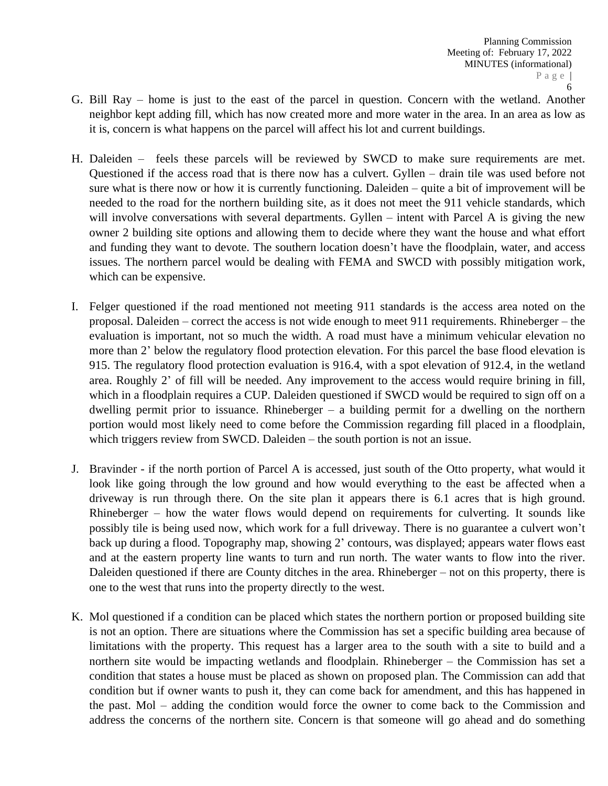- G. Bill Ray home is just to the east of the parcel in question. Concern with the wetland. Another neighbor kept adding fill, which has now created more and more water in the area. In an area as low as it is, concern is what happens on the parcel will affect his lot and current buildings.
- H. Daleiden feels these parcels will be reviewed by SWCD to make sure requirements are met. Questioned if the access road that is there now has a culvert. Gyllen – drain tile was used before not sure what is there now or how it is currently functioning. Daleiden – quite a bit of improvement will be needed to the road for the northern building site, as it does not meet the 911 vehicle standards, which will involve conversations with several departments. Gyllen – intent with Parcel A is giving the new owner 2 building site options and allowing them to decide where they want the house and what effort and funding they want to devote. The southern location doesn't have the floodplain, water, and access issues. The northern parcel would be dealing with FEMA and SWCD with possibly mitigation work, which can be expensive.
- I. Felger questioned if the road mentioned not meeting 911 standards is the access area noted on the proposal. Daleiden – correct the access is not wide enough to meet 911 requirements. Rhineberger – the evaluation is important, not so much the width. A road must have a minimum vehicular elevation no more than 2' below the regulatory flood protection elevation. For this parcel the base flood elevation is 915. The regulatory flood protection evaluation is 916.4, with a spot elevation of 912.4, in the wetland area. Roughly 2' of fill will be needed. Any improvement to the access would require brining in fill, which in a floodplain requires a CUP. Daleiden questioned if SWCD would be required to sign off on a dwelling permit prior to issuance. Rhineberger – a building permit for a dwelling on the northern portion would most likely need to come before the Commission regarding fill placed in a floodplain, which triggers review from SWCD. Daleiden – the south portion is not an issue.
- J. Bravinder if the north portion of Parcel A is accessed, just south of the Otto property, what would it look like going through the low ground and how would everything to the east be affected when a driveway is run through there. On the site plan it appears there is 6.1 acres that is high ground. Rhineberger – how the water flows would depend on requirements for culverting. It sounds like possibly tile is being used now, which work for a full driveway. There is no guarantee a culvert won't back up during a flood. Topography map, showing 2' contours, was displayed; appears water flows east and at the eastern property line wants to turn and run north. The water wants to flow into the river. Daleiden questioned if there are County ditches in the area. Rhineberger – not on this property, there is one to the west that runs into the property directly to the west.
- K. Mol questioned if a condition can be placed which states the northern portion or proposed building site is not an option. There are situations where the Commission has set a specific building area because of limitations with the property. This request has a larger area to the south with a site to build and a northern site would be impacting wetlands and floodplain. Rhineberger – the Commission has set a condition that states a house must be placed as shown on proposed plan. The Commission can add that condition but if owner wants to push it, they can come back for amendment, and this has happened in the past. Mol – adding the condition would force the owner to come back to the Commission and address the concerns of the northern site. Concern is that someone will go ahead and do something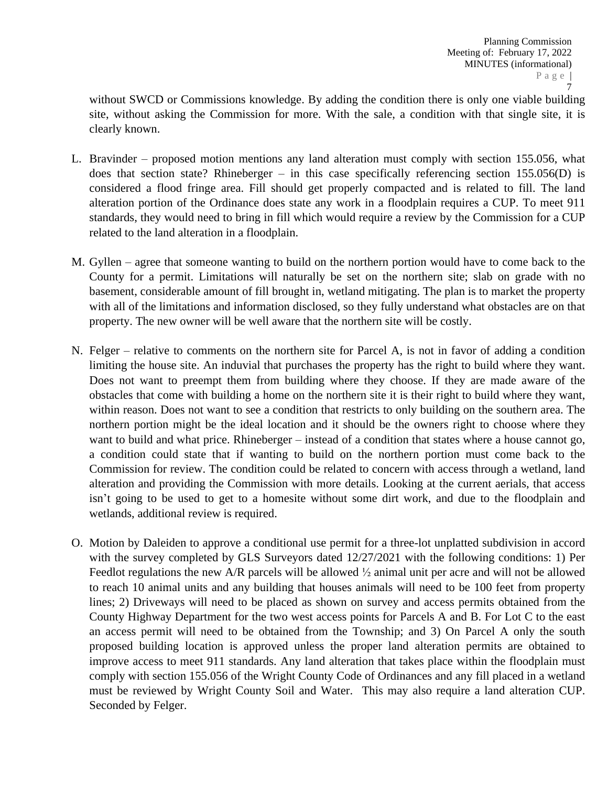without SWCD or Commissions knowledge. By adding the condition there is only one viable building site, without asking the Commission for more. With the sale, a condition with that single site, it is clearly known.

- L. Bravinder proposed motion mentions any land alteration must comply with section 155.056, what does that section state? Rhineberger – in this case specifically referencing section 155.056(D) is considered a flood fringe area. Fill should get properly compacted and is related to fill. The land alteration portion of the Ordinance does state any work in a floodplain requires a CUP. To meet 911 standards, they would need to bring in fill which would require a review by the Commission for a CUP related to the land alteration in a floodplain.
- M. Gyllen agree that someone wanting to build on the northern portion would have to come back to the County for a permit. Limitations will naturally be set on the northern site; slab on grade with no basement, considerable amount of fill brought in, wetland mitigating. The plan is to market the property with all of the limitations and information disclosed, so they fully understand what obstacles are on that property. The new owner will be well aware that the northern site will be costly.
- N. Felger relative to comments on the northern site for Parcel A, is not in favor of adding a condition limiting the house site. An induvial that purchases the property has the right to build where they want. Does not want to preempt them from building where they choose. If they are made aware of the obstacles that come with building a home on the northern site it is their right to build where they want, within reason. Does not want to see a condition that restricts to only building on the southern area. The northern portion might be the ideal location and it should be the owners right to choose where they want to build and what price. Rhineberger – instead of a condition that states where a house cannot go, a condition could state that if wanting to build on the northern portion must come back to the Commission for review. The condition could be related to concern with access through a wetland, land alteration and providing the Commission with more details. Looking at the current aerials, that access isn't going to be used to get to a homesite without some dirt work, and due to the floodplain and wetlands, additional review is required.
- O. Motion by Daleiden to approve a conditional use permit for a three-lot unplatted subdivision in accord with the survey completed by GLS Surveyors dated 12/27/2021 with the following conditions: 1) Per Feedlot regulations the new A/R parcels will be allowed  $\frac{1}{2}$  animal unit per acre and will not be allowed to reach 10 animal units and any building that houses animals will need to be 100 feet from property lines; 2) Driveways will need to be placed as shown on survey and access permits obtained from the County Highway Department for the two west access points for Parcels A and B. For Lot C to the east an access permit will need to be obtained from the Township; and 3) On Parcel A only the south proposed building location is approved unless the proper land alteration permits are obtained to improve access to meet 911 standards. Any land alteration that takes place within the floodplain must comply with section 155.056 of the Wright County Code of Ordinances and any fill placed in a wetland must be reviewed by Wright County Soil and Water. This may also require a land alteration CUP. Seconded by Felger.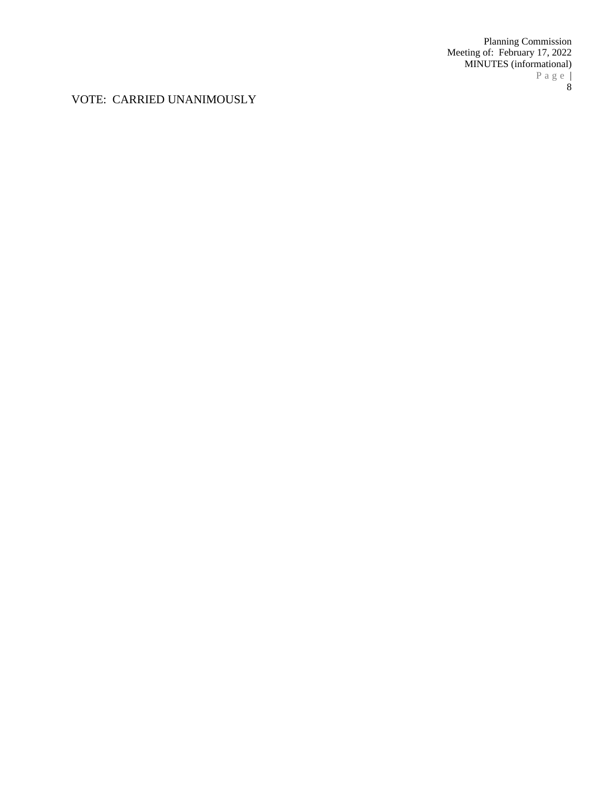Planning Commission Meeting of: February 17, 2022 MINUTES (informational) P a g e | 8

VOTE: CARRIED UNANIMOUSLY